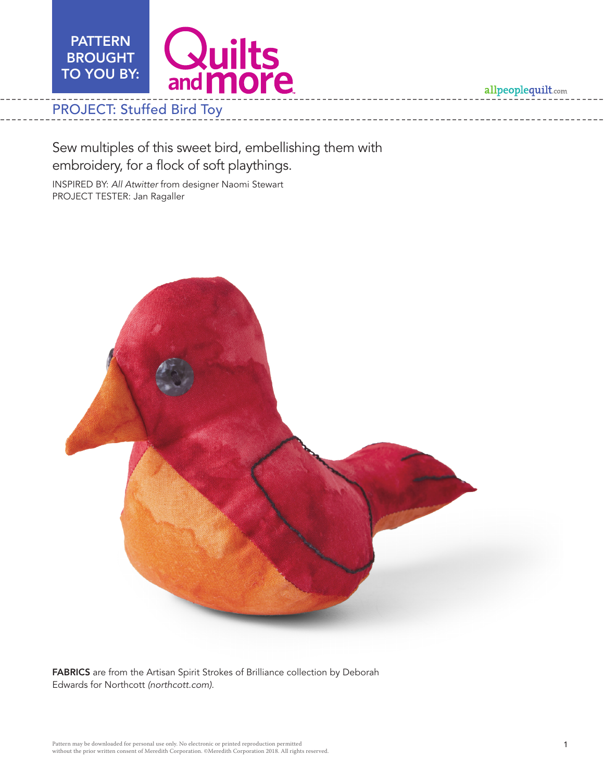

# PROJECT: Stuffed Bird Toy

Sew multiples of this sweet bird, embellishing them with embroidery, for a flock of soft playthings.

INSPIRED BY: *All Atwitter* from designer Naomi Stewart PROJECT TESTER: Jan Ragaller



FABRICS are from the Artisan Spirit Strokes of Brilliance collection by Deborah Edwards for Northcott *(northcott.com)*.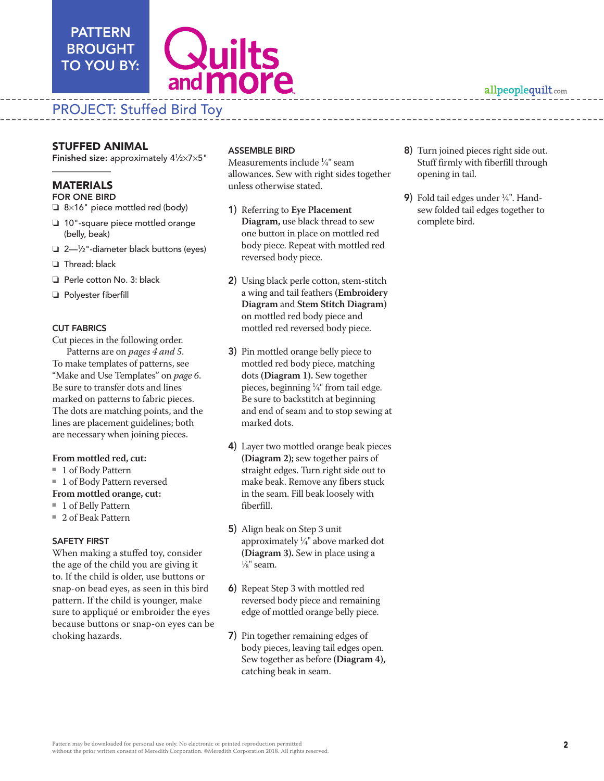# PATTERN BROUGHT TO YOU BY:



# PROJECT: Stuffed Bird Toy

Finished size: approximately 41 ⁄2×7×5"

## MATERIALS

- FOR ONE BIRD
- $\Box$  8×16" piece mottled red (body)
- $\Box$  10"-square piece mottled orange (belly, beak)
- □ 2—1/2"-diameter black buttons (eyes)
- $\Box$  Thread: black
- $\Box$  Perle cotton No. 3: black
- **D** Polyester fiberfill

### CUT FABRICS

**25TUFFED ANIMAL ANISONAL ASSEMBLE BURE BURE CONTINUES (C. 2014) Turb (SSEER) (2014) (2014) (2014) (2014) (2014) (2014) (2014) (2014) (2014) (2014) (2014) (2014) (2014) (2014) (2014) (2014) (2014) (2014) (2014) (2014) (201** Cut pieces in the following order. Patterns are on *pages 4 and 5*. To make templates of patterns, see "Make and Use Templates" on *page 6*. Be sure to transfer dots and lines marked on patterns to fabric pieces. The dots are matching points, and the lines are placement guidelines; both are necessary when joining pieces.

#### **From mottled red, cut:**

- 1 of Body Pattern
- 1 of Body Pattern reversed

#### **From mottled orange, cut:**

- 1 of Belly Pattern
- 2 of Beak Pattern

#### SAFETY FIRST

When making a stuffed toy, consider the age of the child you are giving it to. If the child is older, use buttons or snap-on bead eyes, as seen in this bird pattern. If the child is younger, make sure to appliqué or embroider the eyes because buttons or snap-on eyes can be choking hazards.

### ASSEMBLE BIRD

Measurements include 1 ⁄4" seam allowances. Sew with right sides together unless otherwise stated.

- 1) Referring to **Eye Placement Diagram,** use black thread to sew one button in place on mottled red body piece. Repeat with mottled red reversed body piece.
- 2) Using black perle cotton, stem-stitch a wing and tail feathers **(Embroidery Diagram** and **Stem Stitch Diagram)**  on mottled red body piece and mottled red reversed body piece.
- 3) Pin mottled orange belly piece to mottled red body piece, matching dots **(Diagram 1).** Sew together pieces, beginning 1 ⁄4" from tail edge. Be sure to backstitch at beginning and end of seam and to stop sewing at marked dots.
- 4) Layer two mottled orange beak pieces **(Diagram 2);** sew together pairs of straight edges. Turn right side out to make beak. Remove any fibers stuck in the seam. Fill beak loosely with fiberfill.
- 5) Align beak on Step 3 unit approximately  $\frac{1}{4}$ " above marked dot **(Diagram 3).** Sew in place using a 1  $\frac{1}{8}$ " seam.
- 6) Repeat Step 3 with mottled red reversed body piece and remaining edge of mottled orange belly piece.
- 7) Pin together remaining edges of body pieces, leaving tail edges open. Sew together as before **(Diagram 4),** catching beak in seam.

8) Turn joined pieces right side out. Stuff firmly with fiberfill through opening in tail.

allpeoplequilt.com

**9)** Fold tail edges under  $\frac{1}{4}$ ". Handsew folded tail edges together to complete bird.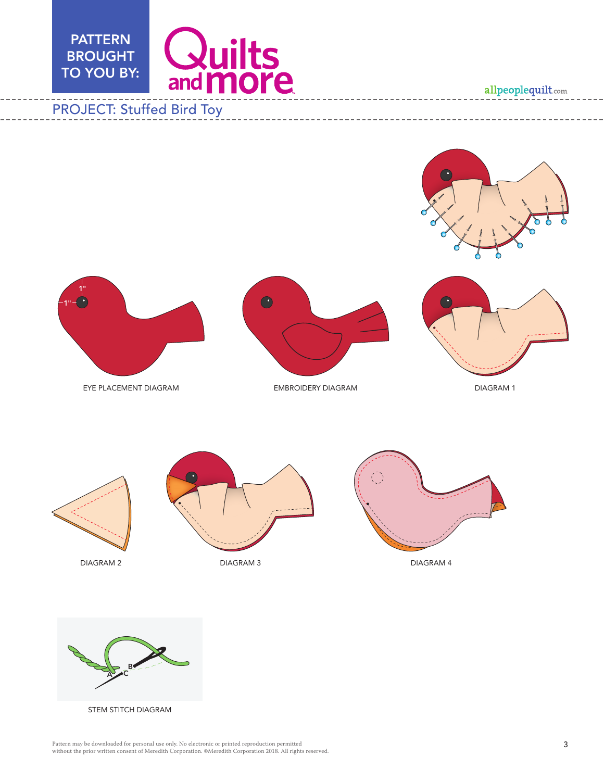



l.





STEM STITCH DIAGRAM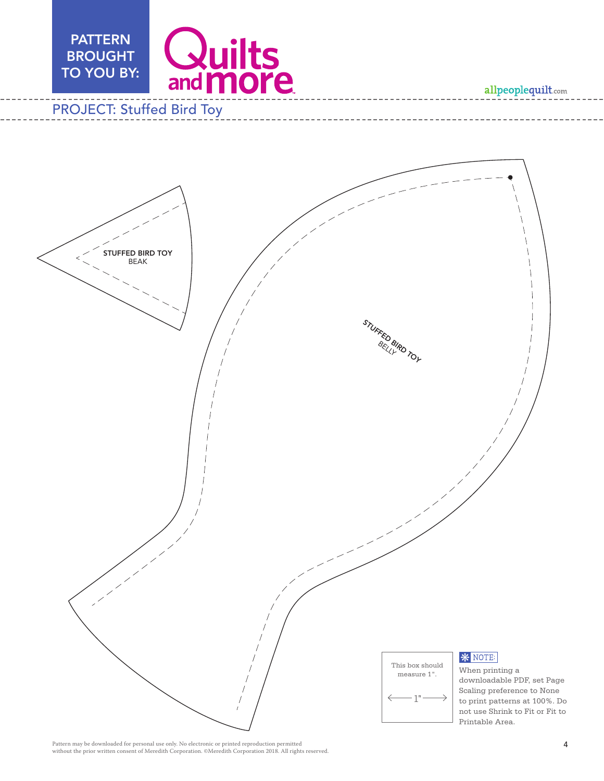

# PROJECT: Stuffed Bird Toy



Pattern may be downloaded for personal use only. No electronic or printed reproduction permitted without the prior written consent of Meredith Corporation. ©Meredith Corporation 2018. All rights reserved.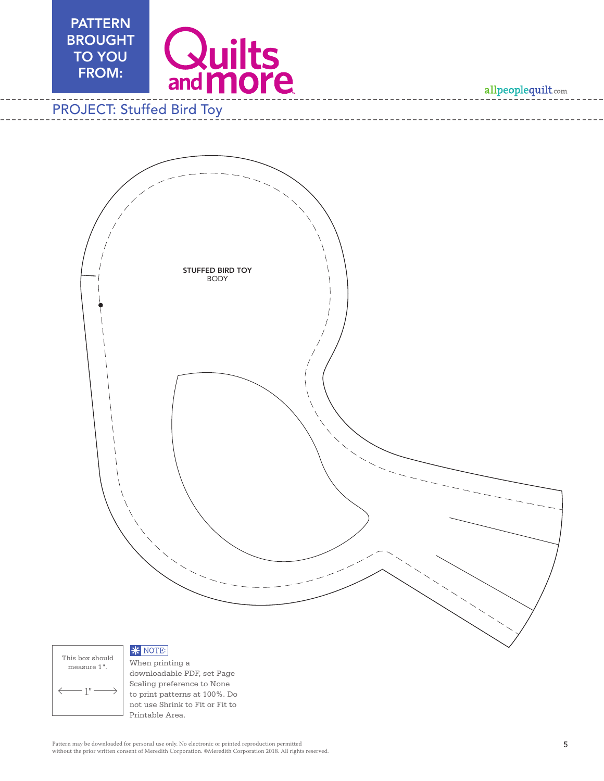

# PROJECT: Stuffed Bird Toy





When printing a downloadable PDF, set Page Scaling preference to None to print patterns at 100%. Do not use Shrink to Fit or Fit to Printable Area.

Pattern may be downloaded for personal use only. No electronic or printed reproduction permitted without the prior written consent of Meredith Corporation. ©Meredith Corporation 2018. All rights reserved.